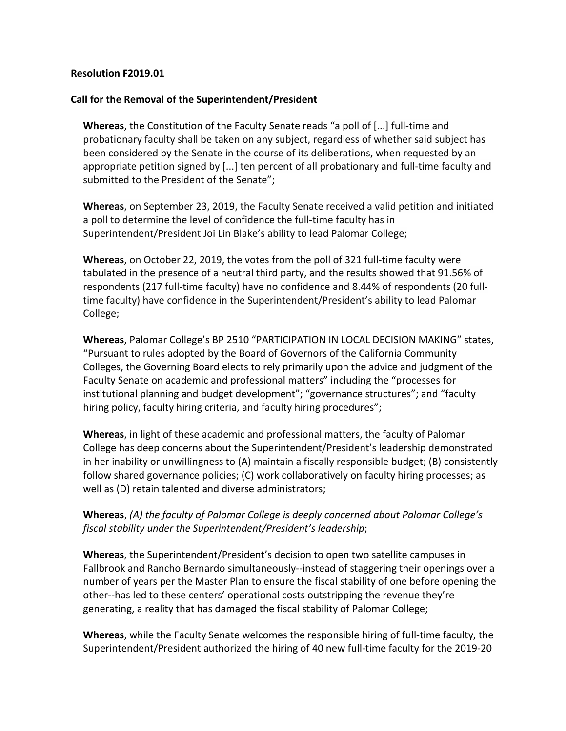### **Resolution F2019.01**

### **Call for the Removal of the Superintendent/President**

**Whereas**, the Constitution of the Faculty Senate reads "a poll of [...] full-time and probationary faculty shall be taken on any subject, regardless of whether said subject has been considered by the Senate in the course of its deliberations, when requested by an appropriate petition signed by [...] ten percent of all probationary and full-time faculty and submitted to the President of the Senate";

**Whereas**, on September 23, 2019, the Faculty Senate received a valid petition and initiated a poll to determine the level of confidence the full-time faculty has in Superintendent/President Joi Lin Blake's ability to lead Palomar College;

**Whereas**, on October 22, 2019, the votes from the poll of 321 full-time faculty were tabulated in the presence of a neutral third party, and the results showed that 91.56% of respondents (217 full-time faculty) have no confidence and 8.44% of respondents (20 fulltime faculty) have confidence in the Superintendent/President's ability to lead Palomar College;

**Whereas**, Palomar College's BP 2510 "PARTICIPATION IN LOCAL DECISION MAKING" states, "Pursuant to rules adopted by the Board of Governors of the California Community Colleges, the Governing Board elects to rely primarily upon the advice and judgment of the Faculty Senate on academic and professional matters" including the "processes for institutional planning and budget development"; "governance structures"; and "faculty hiring policy, faculty hiring criteria, and faculty hiring procedures";

**Whereas**, in light of these academic and professional matters, the faculty of Palomar College has deep concerns about the Superintendent/President's leadership demonstrated in her inability or unwillingness to (A) maintain a fiscally responsible budget; (B) consistently follow shared governance policies; (C) work collaboratively on faculty hiring processes; as well as (D) retain talented and diverse administrators;

### **Whereas**, *(A) the faculty of Palomar College is deeply concerned about Palomar College's fiscal stability under the Superintendent/President's leadership*;

**Whereas**, the Superintendent/President's decision to open two satellite campuses in Fallbrook and Rancho Bernardo simultaneously--instead of staggering their openings over a number of years per the Master Plan to ensure the fiscal stability of one before opening the other--has led to these centers' operational costs outstripping the revenue they're generating, a reality that has damaged the fiscal stability of Palomar College;

**Whereas**, while the Faculty Senate welcomes the responsible hiring of full-time faculty, the Superintendent/President authorized the hiring of 40 new full-time faculty for the 2019-20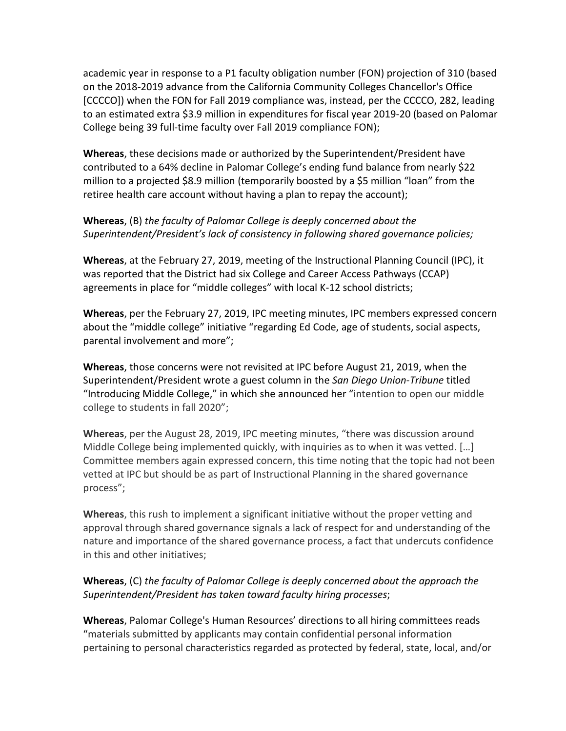academic year in response to a P1 faculty obligation number (FON) projection of 310 (based on the 2018-2019 advance from the California Community Colleges Chancellor's Office [CCCCO]) when the FON for Fall 2019 compliance was, instead, per the CCCCO, 282, leading to an estimated extra \$3.9 million in expenditures for fiscal year 2019-20 (based on Palomar College being 39 full-time faculty over Fall 2019 compliance FON);

**Whereas**, these decisions made or authorized by the Superintendent/President have contributed to a 64% decline in Palomar College's ending fund balance from nearly \$22 million to a projected \$8.9 million (temporarily boosted by a \$5 million "loan" from the retiree health care account without having a plan to repay the account);

## **Whereas**, (B) *the faculty of Palomar College is deeply concerned about the Superintendent/President's lack of consistency in following shared governance policies;*

**Whereas**, at the February 27, 2019, meeting of the Instructional Planning Council (IPC), it was reported that the District had six College and Career Access Pathways (CCAP) agreements in place for "middle colleges" with local K-12 school districts;

**Whereas**, per the February 27, 2019, IPC meeting minutes, IPC members expressed concern about the "middle college" initiative "regarding Ed Code, age of students, social aspects, parental involvement and more";

**Whereas**, those concerns were not revisited at IPC before August 21, 2019, when the Superintendent/President wrote a guest column in the *San Diego Union-Tribune* titled "Introducing Middle College," in which she announced her "intention to open our middle college to students in fall 2020";

**Whereas**, per the August 28, 2019, IPC meeting minutes, "there was discussion around Middle College being implemented quickly, with inquiries as to when it was vetted. […] Committee members again expressed concern, this time noting that the topic had not been vetted at IPC but should be as part of Instructional Planning in the shared governance process";

**Whereas**, this rush to implement a significant initiative without the proper vetting and approval through shared governance signals a lack of respect for and understanding of the nature and importance of the shared governance process, a fact that undercuts confidence in this and other initiatives;

# **Whereas**, (C) *the faculty of Palomar College is deeply concerned about the approach the Superintendent/President has taken toward faculty hiring processes*;

**Whereas**, Palomar College's Human Resources' directions to all hiring committees reads "materials submitted by applicants may contain confidential personal information pertaining to personal characteristics regarded as protected by federal, state, local, and/or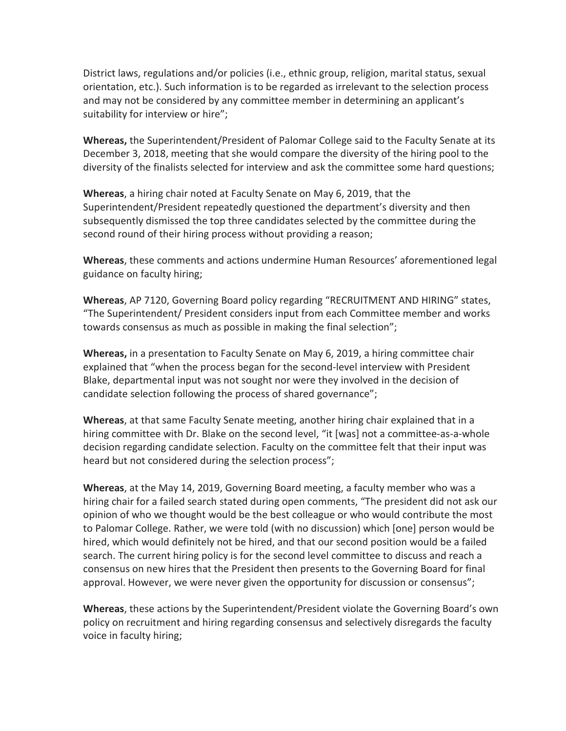District laws, regulations and/or policies (i.e., ethnic group, religion, marital status, sexual orientation, etc.). Such information is to be regarded as irrelevant to the selection process and may not be considered by any committee member in determining an applicant's suitability for interview or hire";

**Whereas,** the Superintendent/President of Palomar College said to the Faculty Senate at its December 3, 2018, meeting that she would compare the diversity of the hiring pool to the diversity of the finalists selected for interview and ask the committee some hard questions;

**Whereas**, a hiring chair noted at Faculty Senate on May 6, 2019, that the Superintendent/President repeatedly questioned the department's diversity and then subsequently dismissed the top three candidates selected by the committee during the second round of their hiring process without providing a reason;

**Whereas**, these comments and actions undermine Human Resources' aforementioned legal guidance on faculty hiring;

**Whereas**, AP 7120, Governing Board policy regarding "RECRUITMENT AND HIRING" states, "The Superintendent/ President considers input from each Committee member and works towards consensus as much as possible in making the final selection";

**Whereas,** in a presentation to Faculty Senate on May 6, 2019, a hiring committee chair explained that "when the process began for the second-level interview with President Blake, departmental input was not sought nor were they involved in the decision of candidate selection following the process of shared governance";

**Whereas**, at that same Faculty Senate meeting, another hiring chair explained that in a hiring committee with Dr. Blake on the second level, "it [was] not a committee-as-a-whole decision regarding candidate selection. Faculty on the committee felt that their input was heard but not considered during the selection process";

**Whereas**, at the May 14, 2019, Governing Board meeting, a faculty member who was a hiring chair for a failed search stated during open comments, "The president did not ask our opinion of who we thought would be the best colleague or who would contribute the most to Palomar College. Rather, we were told (with no discussion) which [one] person would be hired, which would definitely not be hired, and that our second position would be a failed search. The current hiring policy is for the second level committee to discuss and reach a consensus on new hires that the President then presents to the Governing Board for final approval. However, we were never given the opportunity for discussion or consensus";

**Whereas**, these actions by the Superintendent/President violate the Governing Board's own policy on recruitment and hiring regarding consensus and selectively disregards the faculty voice in faculty hiring;